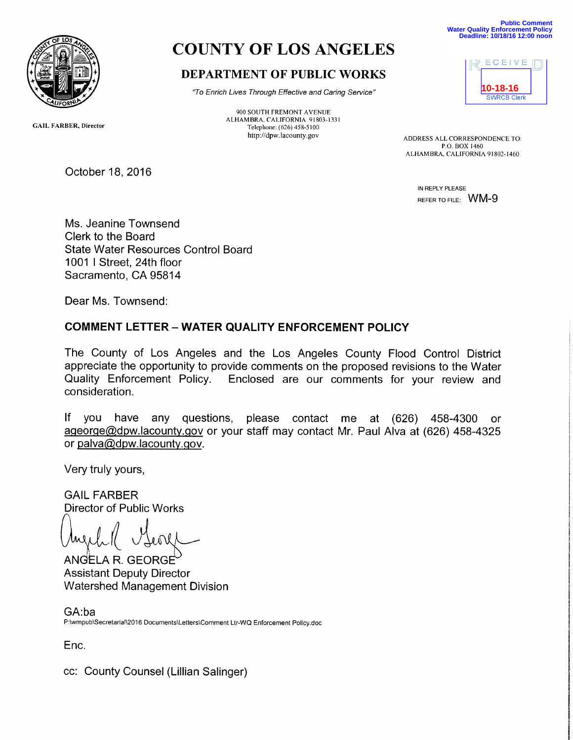

# COUNTY OF LOS ANGELES

# DEPARTMENT OF PUBLIC WORKS

`7o Enrich Lives Through Effective and Caring Service"

900 SOUTH FREMONT AVENUE ALHAMBRA, CALIFOKNIA 91803-1331 Telephone: (626)458-5100

**Public Comment Water Quality Enforcement Policy Deadline: 10/18/16 12:00 noon**



http://dpw.lacounty.gov ADDRESS ALL CORRESPONDENCE TO: P.O. BOX 1460 ALHAMBRA, CALIFORNIA 91802-1460

> IN REPLY PLEASE REFER TO FILE: WM-9

GAIL FARBER, Director

Ms. Jeanine Townsend Clerk to the Board State Water Resources Control Board 1001 I Street, 24th floor Sacramento, CA 95814

Dear Ms. Townsend:

October 18, 2016

# COMMENT LETTER —WATER QUALITY ENFORCEMENT POLICY

The County of Los Angeles and the Los Angeles County Flood Control District appreciate the opportunity to provide comments on the proposed revisions to the Water Quality Enforcement Policy. Enclosed are our comments for your review and consideration.

If you have any questions, please contact me at (626) 458-4300 or ageorge@dpw.lacounty.gov or your staff may contact Mr. Paul Alva at (626) 458-4325 or palva@dpw.lacounty.gov.

Very truly yours,

GAIL FARBER Director of Public Works

ANGELA R. GEORGE Assistant Deputy Director Watershed Management Division

GA:ba P:\wmpub\Secretarial\2016 Documents\Letters\Comment Ltr-WQ Enforcement Policy.doc

Enc.

cc: County Counsel (Lillian Salinger)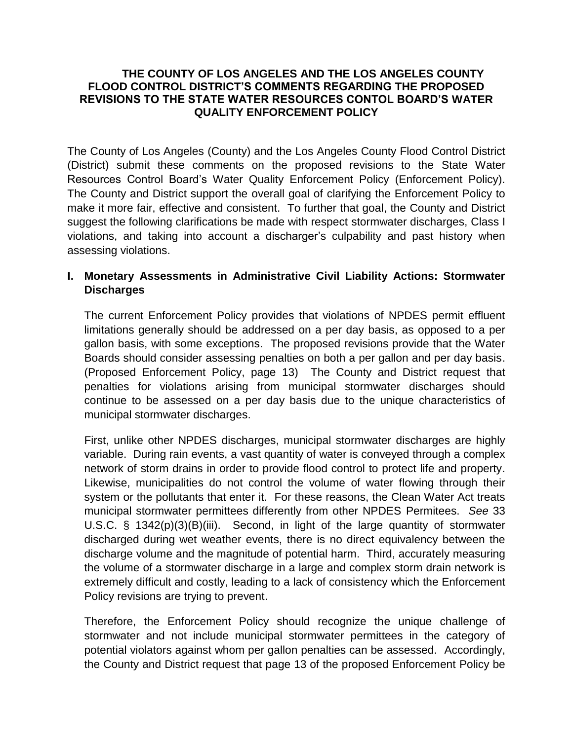#### **THE COUNTY OF LOS ANGELES AND THE LOS ANGELES COUNTY FLOOD CONTROL DISTRICT'S COMMENTS REGARDING THE PROPOSED REVISIONS TO THE STATE WATER RESOURCES CONTOL BOARD'S WATER QUALITY ENFORCEMENT POLICY**

The County of Los Angeles (County) and the Los Angeles County Flood Control District (District) submit these comments on the proposed revisions to the State Water Resources Control Board's Water Quality Enforcement Policy (Enforcement Policy). The County and District support the overall goal of clarifying the Enforcement Policy to make it more fair, effective and consistent. To further that goal, the County and District suggest the following clarifications be made with respect stormwater discharges, Class I violations, and taking into account a discharger's culpability and past history when assessing violations.

# **I. Monetary Assessments in Administrative Civil Liability Actions: Stormwater Discharges**

The current Enforcement Policy provides that violations of NPDES permit effluent limitations generally should be addressed on a per day basis, as opposed to a per gallon basis, with some exceptions. The proposed revisions provide that the Water Boards should consider assessing penalties on both a per gallon and per day basis. (Proposed Enforcement Policy, page 13) The County and District request that penalties for violations arising from municipal stormwater discharges should continue to be assessed on a per day basis due to the unique characteristics of municipal stormwater discharges.

First, unlike other NPDES discharges, municipal stormwater discharges are highly variable. During rain events, a vast quantity of water is conveyed through a complex network of storm drains in order to provide flood control to protect life and property. Likewise, municipalities do not control the volume of water flowing through their system or the pollutants that enter it. For these reasons, the Clean Water Act treats municipal stormwater permittees differently from other NPDES Permitees. *See* 33 U.S.C. § 1342(p)(3)(B)(iii). Second, in light of the large quantity of stormwater discharged during wet weather events, there is no direct equivalency between the discharge volume and the magnitude of potential harm. Third, accurately measuring the volume of a stormwater discharge in a large and complex storm drain network is extremely difficult and costly, leading to a lack of consistency which the Enforcement Policy revisions are trying to prevent.

Therefore, the Enforcement Policy should recognize the unique challenge of stormwater and not include municipal stormwater permittees in the category of potential violators against whom per gallon penalties can be assessed. Accordingly, the County and District request that page 13 of the proposed Enforcement Policy be